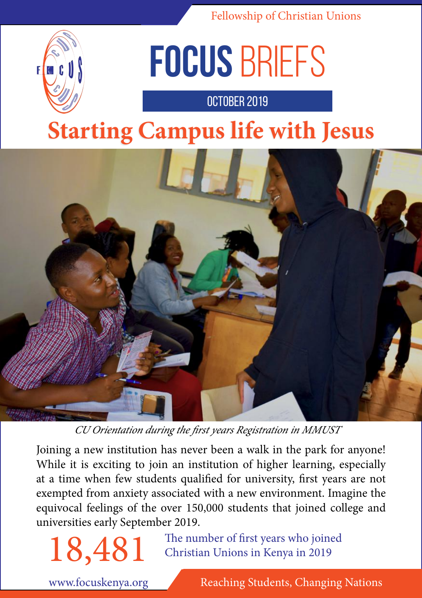

# **focus** briefs

october 2019

## **Starting Campus life with Jesus**



*CU Orientation during the first years Registration in MMUST* 

Joining a new institution has never been a walk in the park for anyone! While it is exciting to join an institution of higher learning, especially at a time when few students qualified for university, first years are not exempted from anxiety associated with a new environment. Imagine the equivocal feelings of the over 150,000 students that joined college and universities early September 2019.

18,481 The number of first years who joined<br>Christian Unions in Kenya in 2019 Christian Unions in Kenya in 2019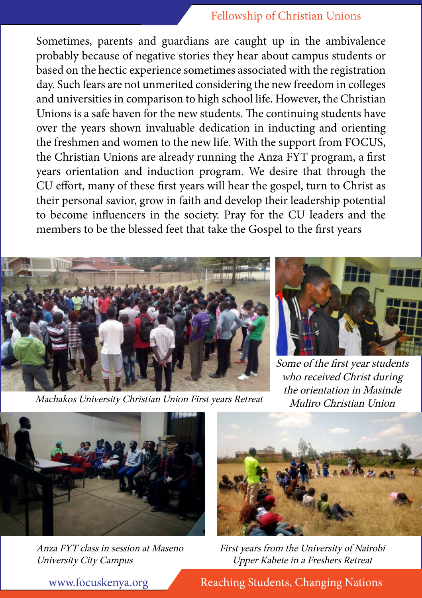Sometimes, parents and guardians are caught up in the ambivalence probably because of negative stories they hear about campus students or based on the hectic experience sometimes associated with the registration day. Such fears are not unmerited considering the new freedom in colleges and universities in comparison to high school life. However, the Christian Unions is a safe haven for the new students. The continuing students have over the years shown invaluable dedication in inducting and orienting the freshmen and women to the new life. With the support from FOCUS, the Christian Unions are already running the Anza FYT program, a first years orientation and induction program. We desire that through the CU effort, many of these first years will hear the gospel, turn to Christ as their personal savior, grow in faith and develop their leadership potential to become influencers in the society. Pray for the CU leaders and the members to be the blessed feet that take the Gospel to the first years



Machakos University Christian Union First years Retreat



Some of the first year students who received Christ during the orientation in Masinde Muliro Christian Union



Anza FYT class in session at Maseno University City Campus



First years from the University of Nairobi Upper Kabete in a Freshers Retreat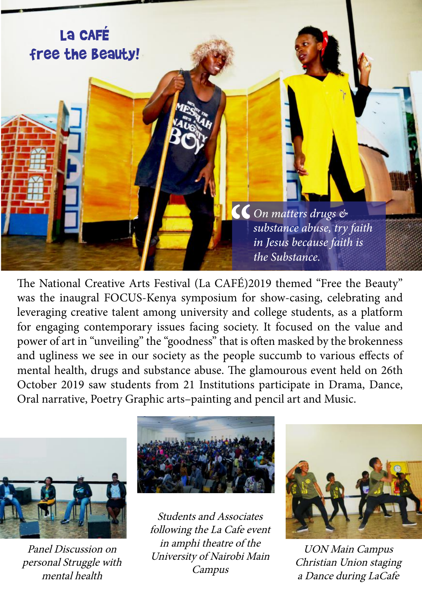### La CAFÉ free the beauty!

**CC** On matters drugs  $\&$  substance abuse, try in Jesus because faith *substance abuse, try faith in Jesus because faith is the Substance.*

The National Creative Arts Festival (La CAFÉ)2019 themed "Free the Beauty" was the inaugral FOCUS-Kenya symposium for show-casing, celebrating and leveraging creative talent among university and college students, as a platform for engaging contemporary issues facing society. It focused on the value and power of art in "unveiling" the "goodness" that is often masked by the brokenness and ugliness we see in our society as the people succumb to various effects of mental health, drugs and substance abuse. The glamourous event held on 26th October 2019 saw students from 21 Institutions participate in Drama, Dance, Oral narrative, Poetry Graphic arts–painting and pencil art and Music.



Panel Discussion on personal Struggle with mental health



Students and Associates following the La Cafe event in amphi theatre of the University of Nairobi Main Campus



UON Main Campus Christian Union staging a Dance during LaCafe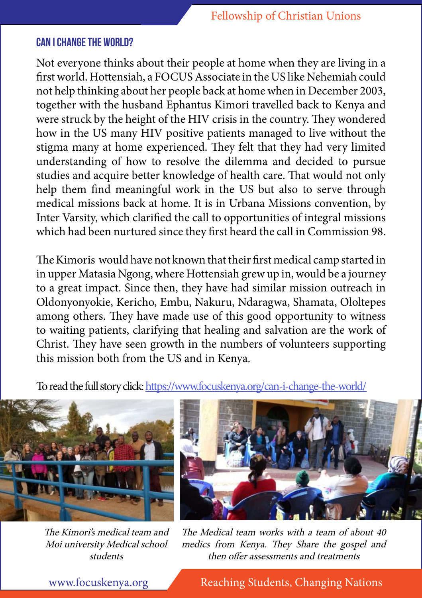#### **Can i change the world?**

Not everyone thinks about their people at home when they are living in a first world. Hottensiah, a FOCUS Associate in the US like Nehemiah could not help thinking about her people back at home when in December 2003, together with the husband Ephantus Kimori travelled back to Kenya and were struck by the height of the HIV crisis in the country. They wondered how in the US many HIV positive patients managed to live without the stigma many at home experienced. They felt that they had very limited understanding of how to resolve the dilemma and decided to pursue studies and acquire better knowledge of health care. That would not only help them find meaningful work in the US but also to serve through medical missions back at home. It is in Urbana Missions convention, by Inter Varsity, which clarified the call to opportunities of integral missions which had been nurtured since they first heard the call in Commission 98.

The Kimoris would have not known that their first medical camp started in in upper Matasia Ngong, where Hottensiah grew up in, would be a journey to a great impact. Since then, they have had similar mission outreach in Oldonyonyokie, Kericho, Embu, Nakuru, Ndaragwa, Shamata, Ololtepes among others. They have made use of this good opportunity to witness to waiting patients, clarifying that healing and salvation are the work of Christ. They have seen growth in the numbers of volunteers supporting this mission both from the US and in Kenya.

To read the full story click: https://www.focuskenya.org/can-i-change-the-world/



The Kimori's medical team and Moi university Medical school students



The Medical team works with a team of about 40 medics from Kenya. They Share the gospel and then offer assessments and treatments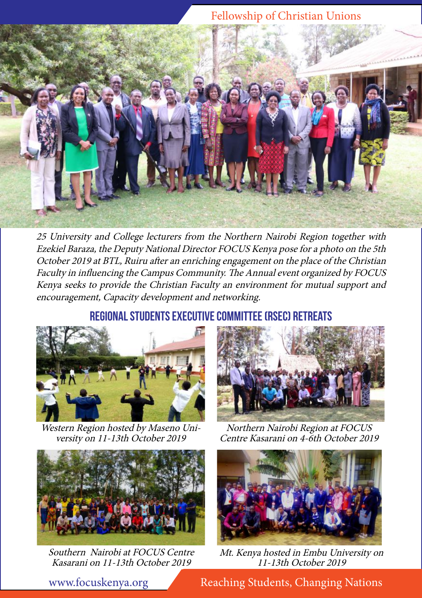

25 University and College lecturers from the Northern Nairobi Region together with Ezekiel Baraza, the Deputy National Director FOCUS Kenya pose for a photo on the 5th October 2019 at BTL, Ruiru after an enriching engagement on the place of the Christian Faculty in influencing the Campus Community. The Annual event organized by FOCUS Kenya seeks to provide the Christian Faculty an environment for mutual support and encouragement, Capacity development and networking.

#### **Regional Students Executive Committee (RSEC) retreats**



Western Region hosted by Maseno Uni versity on 11-13th October 2019



Southern Nairobi at FOCUS Centre Kasarani on 11-13th October 2019



Northern Nairobi Region at FOCUS Centre Kasarani on 4-6th October 2019



Mt. Kenya hosted in Embu University on 11-13th October 2019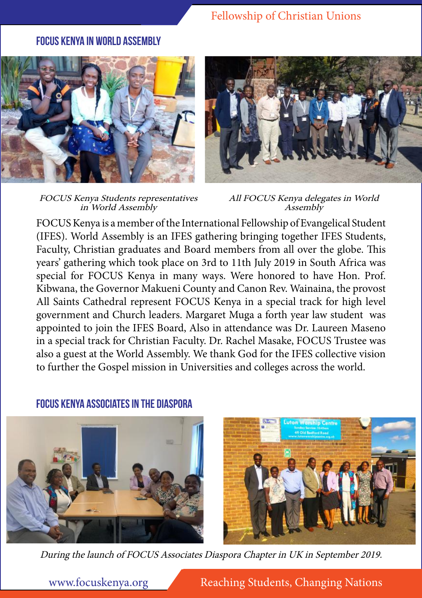#### **focus kenya in World Assembly**



FOCUS Kenya Students representatives in World Assembly



All FOCUS Kenya delegates in World Assembly

FOCUS Kenya is a member of the International Fellowship of Evangelical Student (IFES). World Assembly is an IFES gathering bringing together IFES Students, Faculty, Christian graduates and Board members from all over the globe. This years' gathering which took place on 3rd to 11th July 2019 in South Africa was special for FOCUS Kenya in many ways. Were honored to have Hon. Prof. Kibwana, the Governor Makueni County and Canon Rev. Wainaina, the provost All Saints Cathedral represent FOCUS Kenya in a special track for high level government and Church leaders. Margaret Muga a forth year law student was appointed to join the IFES Board, Also in attendance was Dr. Laureen Maseno in a special track for Christian Faculty. Dr. Rachel Masake, FOCUS Trustee was also a guest at the World Assembly. We thank God for the IFES collective vision to further the Gospel mission in Universities and colleges across the world.



**focus kenya associates in the diaspora** 



During the launch of FOCUS Associates Diaspora Chapter in UK in September 2019.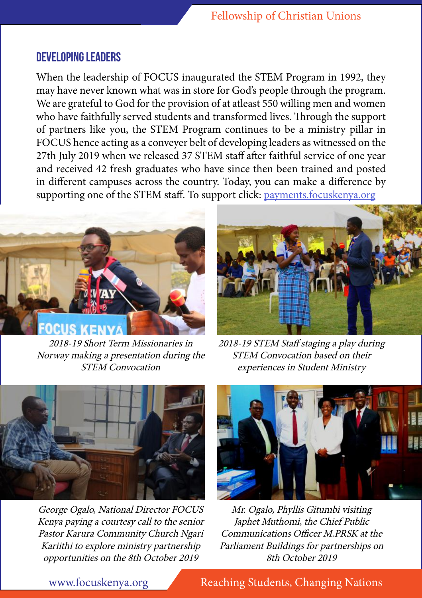#### **Developing Leaders**

When the leadership of FOCUS inaugurated the STEM Program in 1992, they may have never known what was in store for God's people through the program. We are grateful to God for the provision of at atleast 550 willing men and women who have faithfully served students and transformed lives. Through the support of partners like you, the STEM Program continues to be a ministry pillar in FOCUS hence acting as a conveyer belt of developing leaders as witnessed on the 27th July 2019 when we released 37 STEM staff after faithful service of one year and received 42 fresh graduates who have since then been trained and posted in different campuses across the country. Today, you can make a difference by supporting one of the STEM staff. To support click: payments.focuskenya.org



2018-19 Short Term Missionaries in Norway making a presentation during the STEM Convocation



2018-19 STEM Staff staging a play during STEM Convocation based on their experiences in Student Ministry



George Ogalo, National Director FOCUS Kenya paying a courtesy call to the senior Pastor Karura Community Church Ngari Kariithi to explore ministry partnership opportunities on the 8th October 2019



Mr. Ogalo, Phyllis Gitumbi visiting Japhet Muthomi, the Chief Public Communications Officer M.PRSK at the Parliament Buildings for partnerships on 8th October 2019